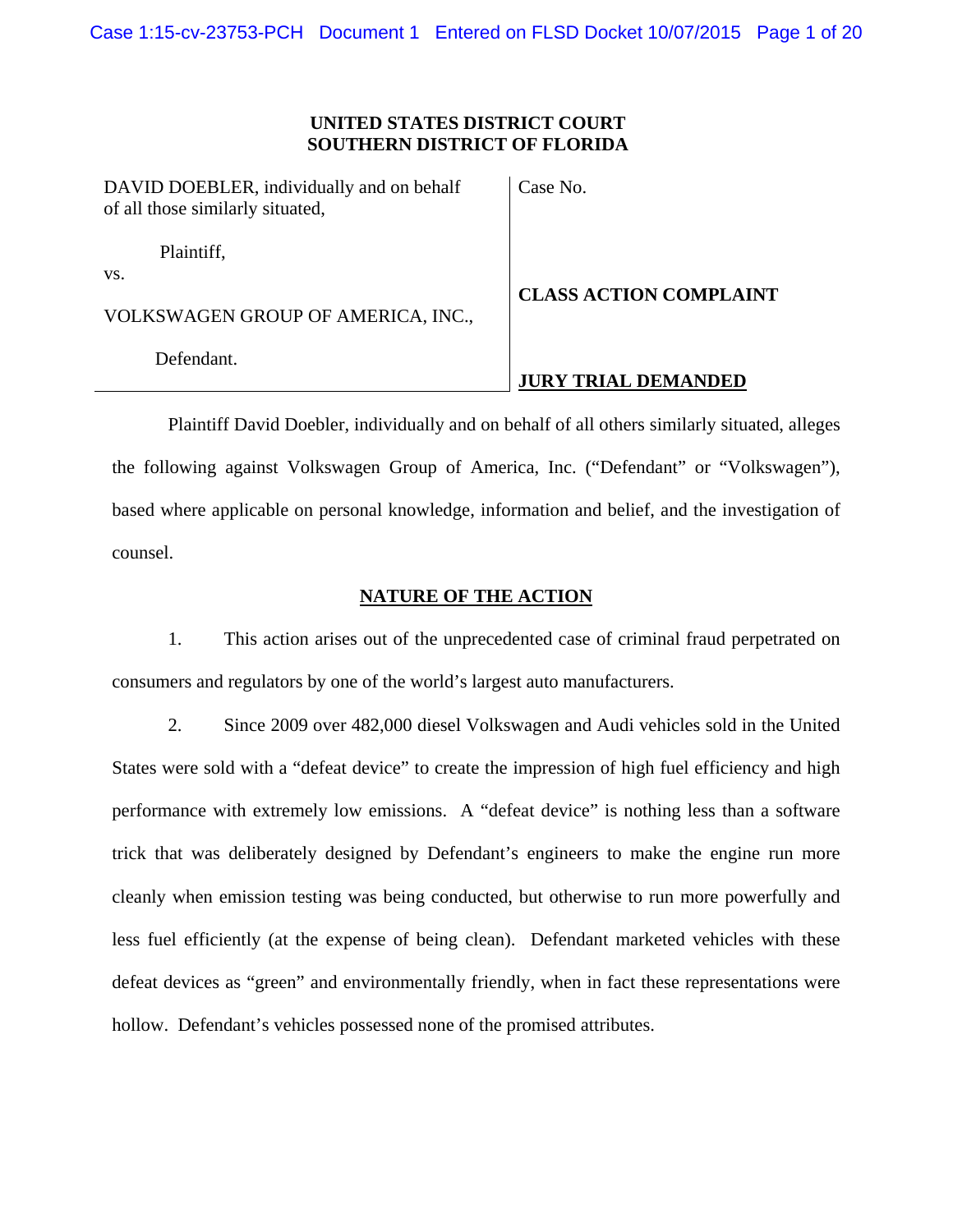### **UNITED STATES DISTRICT COURT SOUTHERN DISTRICT OF FLORIDA**

| DAVID DOEBLER, individually and on behalf<br>of all those similarly situated, | Case No.                      |
|-------------------------------------------------------------------------------|-------------------------------|
| Plaintiff,                                                                    |                               |
| VS.                                                                           |                               |
| VOLKSWAGEN GROUP OF AMERICA, INC.,                                            | <b>CLASS ACTION COMPLAINT</b> |
| Defendant.                                                                    | <b>RY TRIAL DEMANDED</b>      |

 Plaintiff David Doebler, individually and on behalf of all others similarly situated, alleges the following against Volkswagen Group of America, Inc. ("Defendant" or "Volkswagen"), based where applicable on personal knowledge, information and belief, and the investigation of counsel.

### **NATURE OF THE ACTION**

1. This action arises out of the unprecedented case of criminal fraud perpetrated on consumers and regulators by one of the world's largest auto manufacturers.

2. Since 2009 over 482,000 diesel Volkswagen and Audi vehicles sold in the United States were sold with a "defeat device" to create the impression of high fuel efficiency and high performance with extremely low emissions. A "defeat device" is nothing less than a software trick that was deliberately designed by Defendant's engineers to make the engine run more cleanly when emission testing was being conducted, but otherwise to run more powerfully and less fuel efficiently (at the expense of being clean). Defendant marketed vehicles with these defeat devices as "green" and environmentally friendly, when in fact these representations were hollow. Defendant's vehicles possessed none of the promised attributes.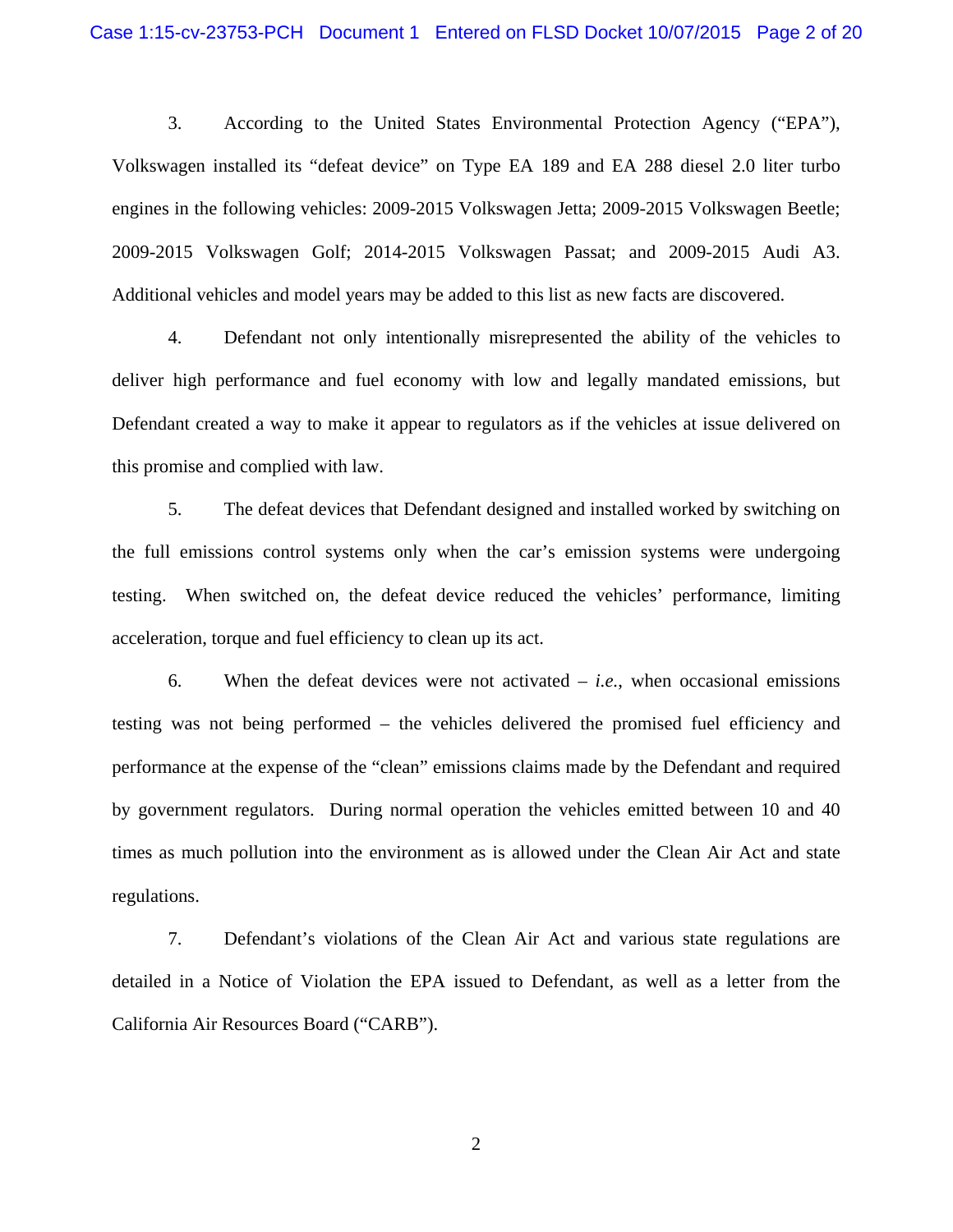3. According to the United States Environmental Protection Agency ("EPA"), Volkswagen installed its "defeat device" on Type EA 189 and EA 288 diesel 2.0 liter turbo engines in the following vehicles: 2009-2015 Volkswagen Jetta; 2009-2015 Volkswagen Beetle; 2009-2015 Volkswagen Golf; 2014-2015 Volkswagen Passat; and 2009-2015 Audi A3. Additional vehicles and model years may be added to this list as new facts are discovered.

4. Defendant not only intentionally misrepresented the ability of the vehicles to deliver high performance and fuel economy with low and legally mandated emissions, but Defendant created a way to make it appear to regulators as if the vehicles at issue delivered on this promise and complied with law.

5. The defeat devices that Defendant designed and installed worked by switching on the full emissions control systems only when the car's emission systems were undergoing testing. When switched on, the defeat device reduced the vehicles' performance, limiting acceleration, torque and fuel efficiency to clean up its act.

6. When the defeat devices were not activated  $-$  *i.e.*, when occasional emissions testing was not being performed – the vehicles delivered the promised fuel efficiency and performance at the expense of the "clean" emissions claims made by the Defendant and required by government regulators. During normal operation the vehicles emitted between 10 and 40 times as much pollution into the environment as is allowed under the Clean Air Act and state regulations.

7. Defendant's violations of the Clean Air Act and various state regulations are detailed in a Notice of Violation the EPA issued to Defendant, as well as a letter from the California Air Resources Board ("CARB").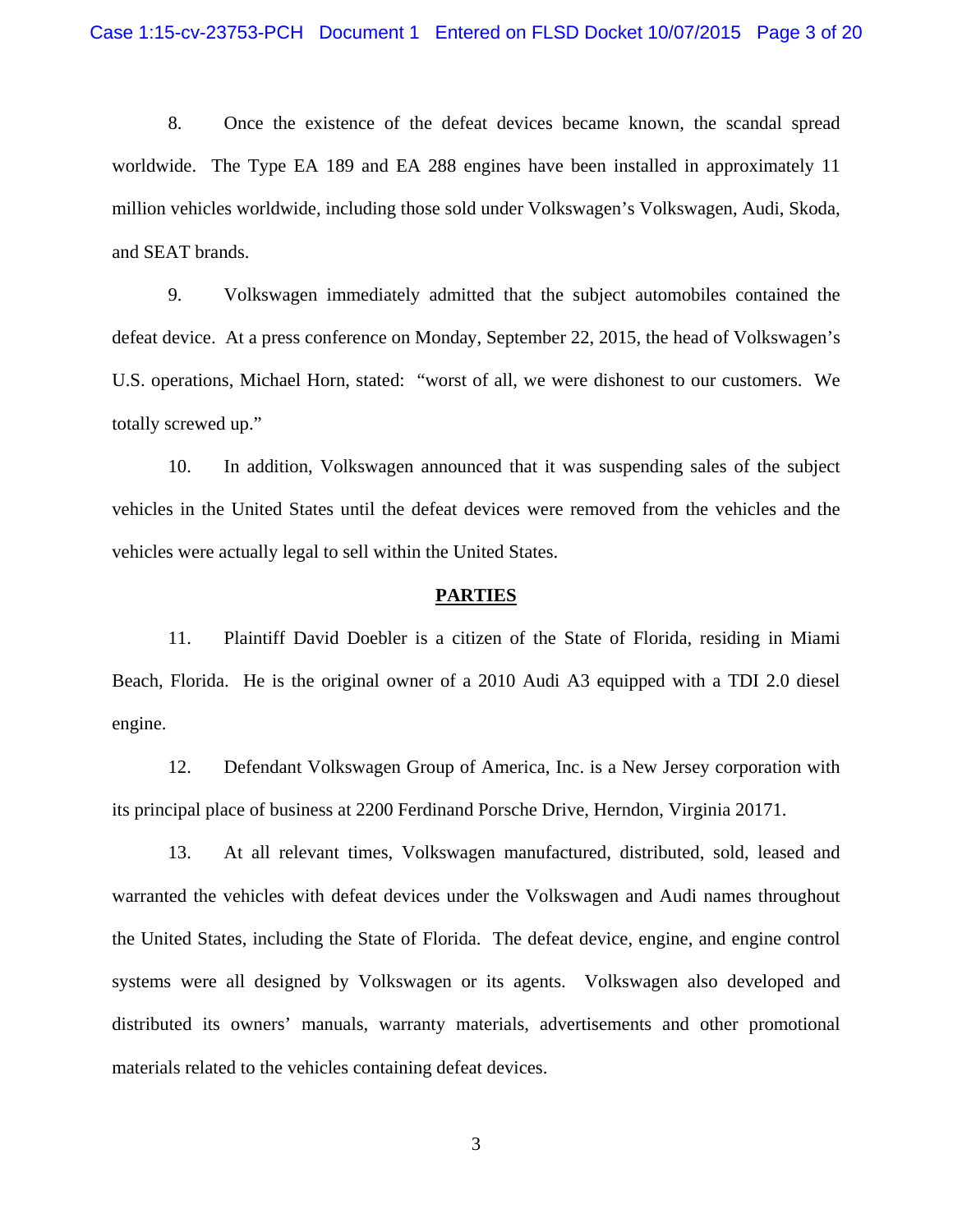8. Once the existence of the defeat devices became known, the scandal spread worldwide. The Type EA 189 and EA 288 engines have been installed in approximately 11 million vehicles worldwide, including those sold under Volkswagen's Volkswagen, Audi, Skoda, and SEAT brands.

9. Volkswagen immediately admitted that the subject automobiles contained the defeat device. At a press conference on Monday, September 22, 2015, the head of Volkswagen's U.S. operations, Michael Horn, stated: "worst of all, we were dishonest to our customers. We totally screwed up."

10. In addition, Volkswagen announced that it was suspending sales of the subject vehicles in the United States until the defeat devices were removed from the vehicles and the vehicles were actually legal to sell within the United States.

#### **PARTIES**

11. Plaintiff David Doebler is a citizen of the State of Florida, residing in Miami Beach, Florida. He is the original owner of a 2010 Audi A3 equipped with a TDI 2.0 diesel engine.

12. Defendant Volkswagen Group of America, Inc. is a New Jersey corporation with its principal place of business at 2200 Ferdinand Porsche Drive, Herndon, Virginia 20171.

13. At all relevant times, Volkswagen manufactured, distributed, sold, leased and warranted the vehicles with defeat devices under the Volkswagen and Audi names throughout the United States, including the State of Florida. The defeat device, engine, and engine control systems were all designed by Volkswagen or its agents. Volkswagen also developed and distributed its owners' manuals, warranty materials, advertisements and other promotional materials related to the vehicles containing defeat devices.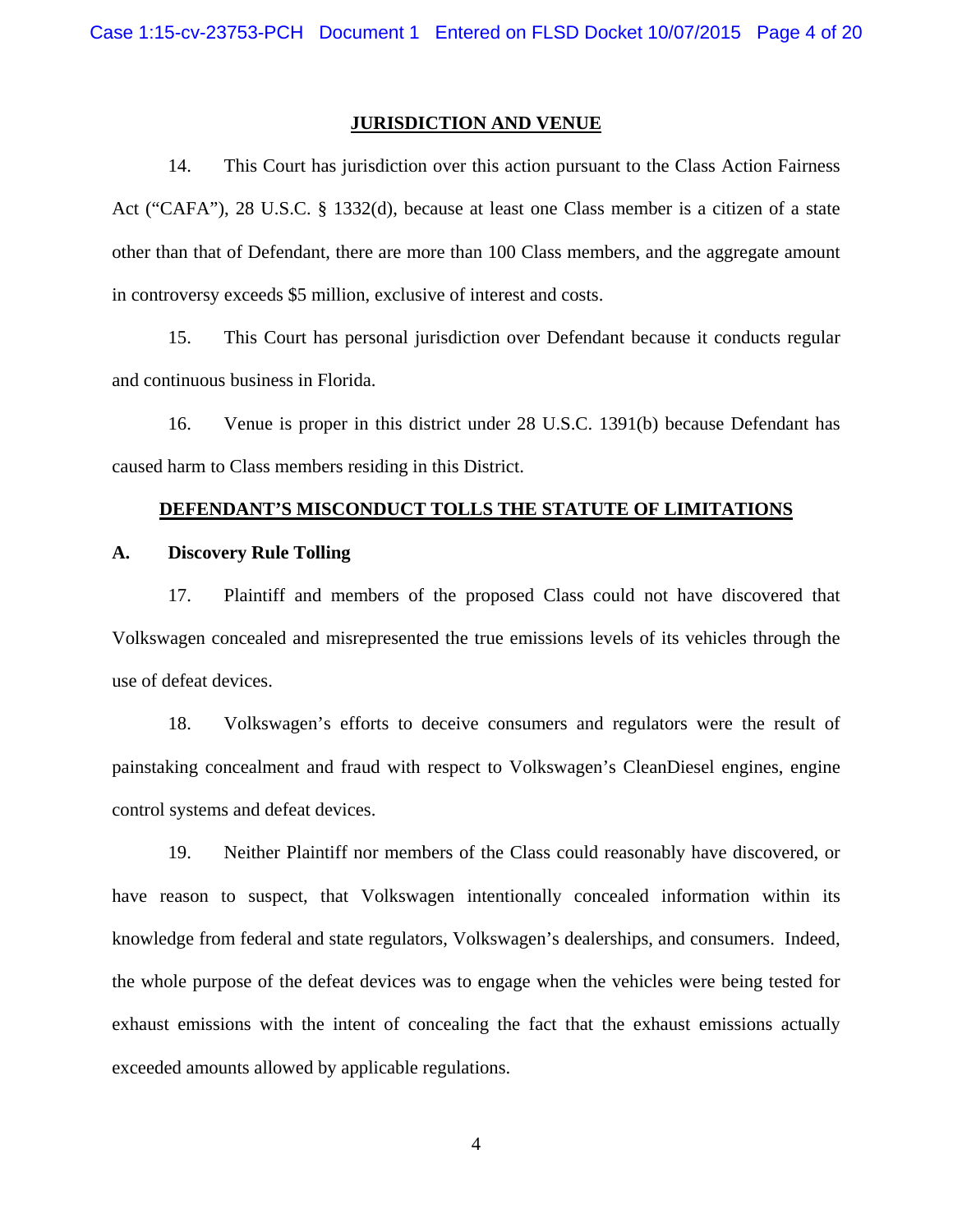#### **JURISDICTION AND VENUE**

14. This Court has jurisdiction over this action pursuant to the Class Action Fairness Act ("CAFA"), 28 U.S.C. § 1332(d), because at least one Class member is a citizen of a state other than that of Defendant, there are more than 100 Class members, and the aggregate amount in controversy exceeds \$5 million, exclusive of interest and costs.

15. This Court has personal jurisdiction over Defendant because it conducts regular and continuous business in Florida.

16. Venue is proper in this district under 28 U.S.C. 1391(b) because Defendant has caused harm to Class members residing in this District.

#### **DEFENDANT'S MISCONDUCT TOLLS THE STATUTE OF LIMITATIONS**

#### **A. Discovery Rule Tolling**

17. Plaintiff and members of the proposed Class could not have discovered that Volkswagen concealed and misrepresented the true emissions levels of its vehicles through the use of defeat devices.

18. Volkswagen's efforts to deceive consumers and regulators were the result of painstaking concealment and fraud with respect to Volkswagen's CleanDiesel engines, engine control systems and defeat devices.

19. Neither Plaintiff nor members of the Class could reasonably have discovered, or have reason to suspect, that Volkswagen intentionally concealed information within its knowledge from federal and state regulators, Volkswagen's dealerships, and consumers. Indeed, the whole purpose of the defeat devices was to engage when the vehicles were being tested for exhaust emissions with the intent of concealing the fact that the exhaust emissions actually exceeded amounts allowed by applicable regulations.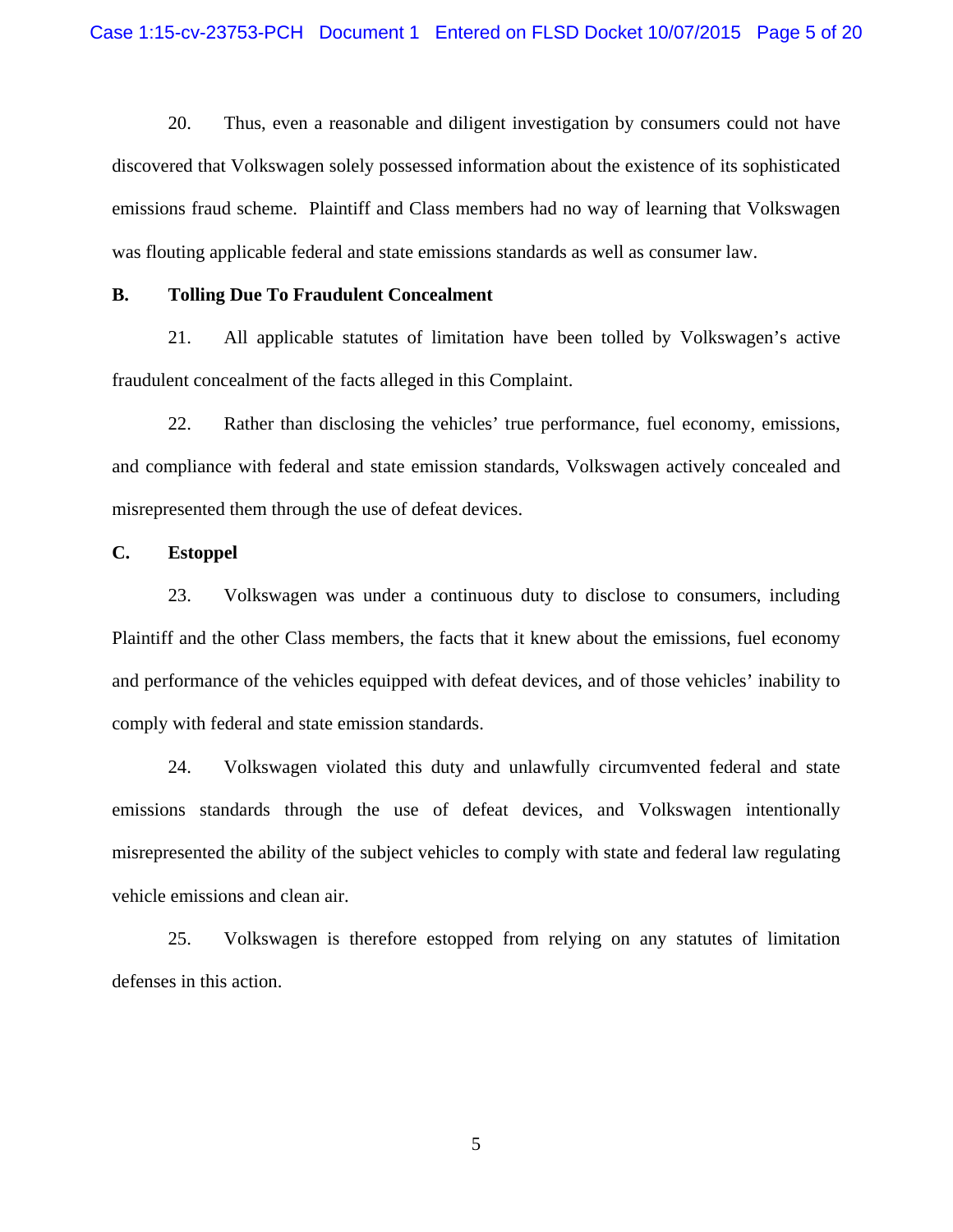20. Thus, even a reasonable and diligent investigation by consumers could not have discovered that Volkswagen solely possessed information about the existence of its sophisticated emissions fraud scheme. Plaintiff and Class members had no way of learning that Volkswagen was flouting applicable federal and state emissions standards as well as consumer law.

#### **B. Tolling Due To Fraudulent Concealment**

21. All applicable statutes of limitation have been tolled by Volkswagen's active fraudulent concealment of the facts alleged in this Complaint.

22. Rather than disclosing the vehicles' true performance, fuel economy, emissions, and compliance with federal and state emission standards, Volkswagen actively concealed and misrepresented them through the use of defeat devices.

### **C. Estoppel**

23. Volkswagen was under a continuous duty to disclose to consumers, including Plaintiff and the other Class members, the facts that it knew about the emissions, fuel economy and performance of the vehicles equipped with defeat devices, and of those vehicles' inability to comply with federal and state emission standards.

24. Volkswagen violated this duty and unlawfully circumvented federal and state emissions standards through the use of defeat devices, and Volkswagen intentionally misrepresented the ability of the subject vehicles to comply with state and federal law regulating vehicle emissions and clean air.

25. Volkswagen is therefore estopped from relying on any statutes of limitation defenses in this action.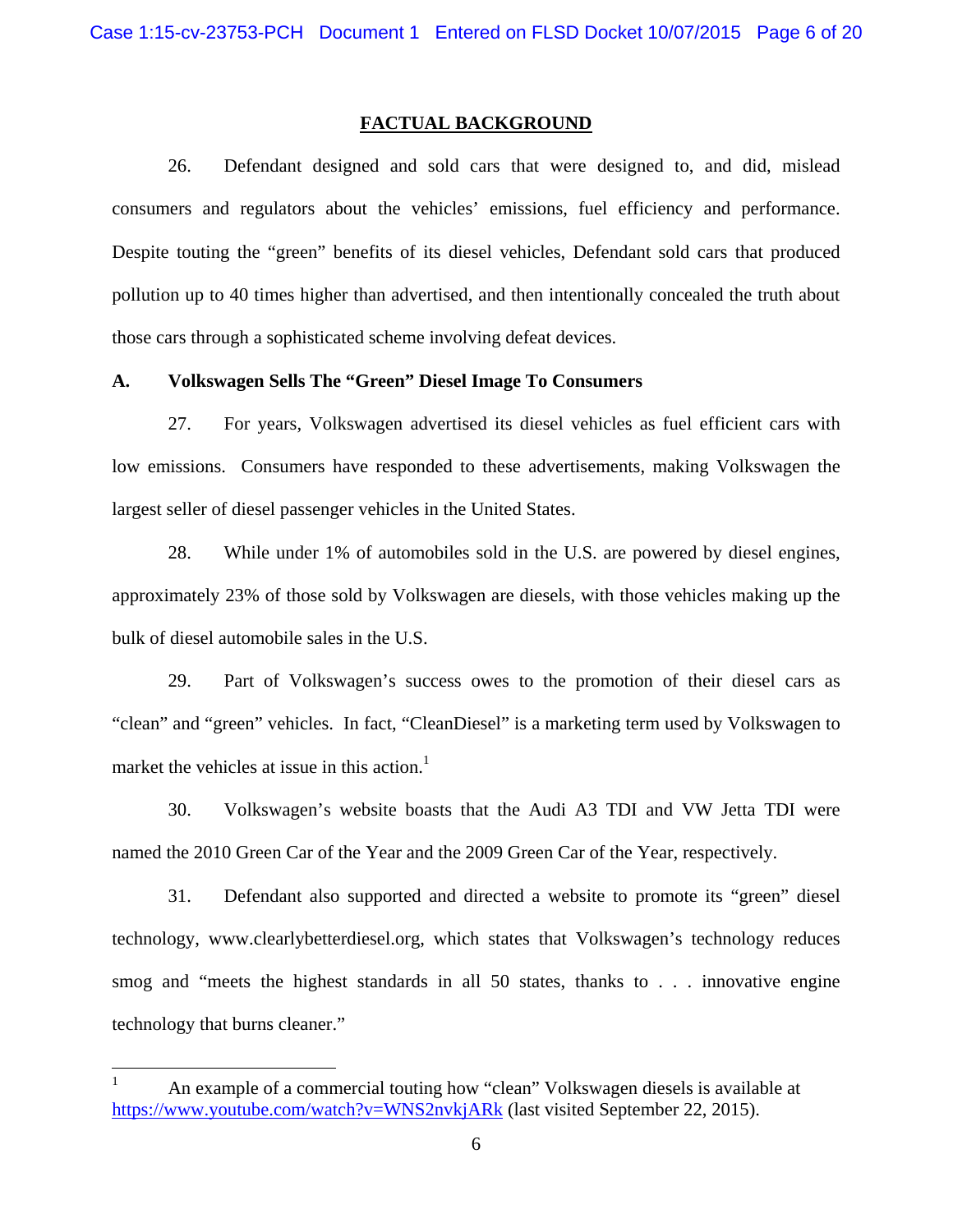# **FACTUAL BACKGROUND**

26. Defendant designed and sold cars that were designed to, and did, mislead consumers and regulators about the vehicles' emissions, fuel efficiency and performance. Despite touting the "green" benefits of its diesel vehicles, Defendant sold cars that produced pollution up to 40 times higher than advertised, and then intentionally concealed the truth about those cars through a sophisticated scheme involving defeat devices.

# **A. Volkswagen Sells The "Green" Diesel Image To Consumers**

27. For years, Volkswagen advertised its diesel vehicles as fuel efficient cars with low emissions. Consumers have responded to these advertisements, making Volkswagen the largest seller of diesel passenger vehicles in the United States.

28. While under 1% of automobiles sold in the U.S. are powered by diesel engines, approximately 23% of those sold by Volkswagen are diesels, with those vehicles making up the bulk of diesel automobile sales in the U.S.

29. Part of Volkswagen's success owes to the promotion of their diesel cars as "clean" and "green" vehicles. In fact, "CleanDiesel" is a marketing term used by Volkswagen to market the vehicles at issue in this action.<sup>1</sup>

30. Volkswagen's website boasts that the Audi A3 TDI and VW Jetta TDI were named the 2010 Green Car of the Year and the 2009 Green Car of the Year, respectively.

31. Defendant also supported and directed a website to promote its "green" diesel technology, www.clearlybetterdiesel.org, which states that Volkswagen's technology reduces smog and "meets the highest standards in all 50 states, thanks to . . . innovative engine technology that burns cleaner."

 $\overline{a}$ 

<sup>1</sup> An example of a commercial touting how "clean" Volkswagen diesels is available at https://www.youtube.com/watch?v=WNS2nvkjARk (last visited September 22, 2015).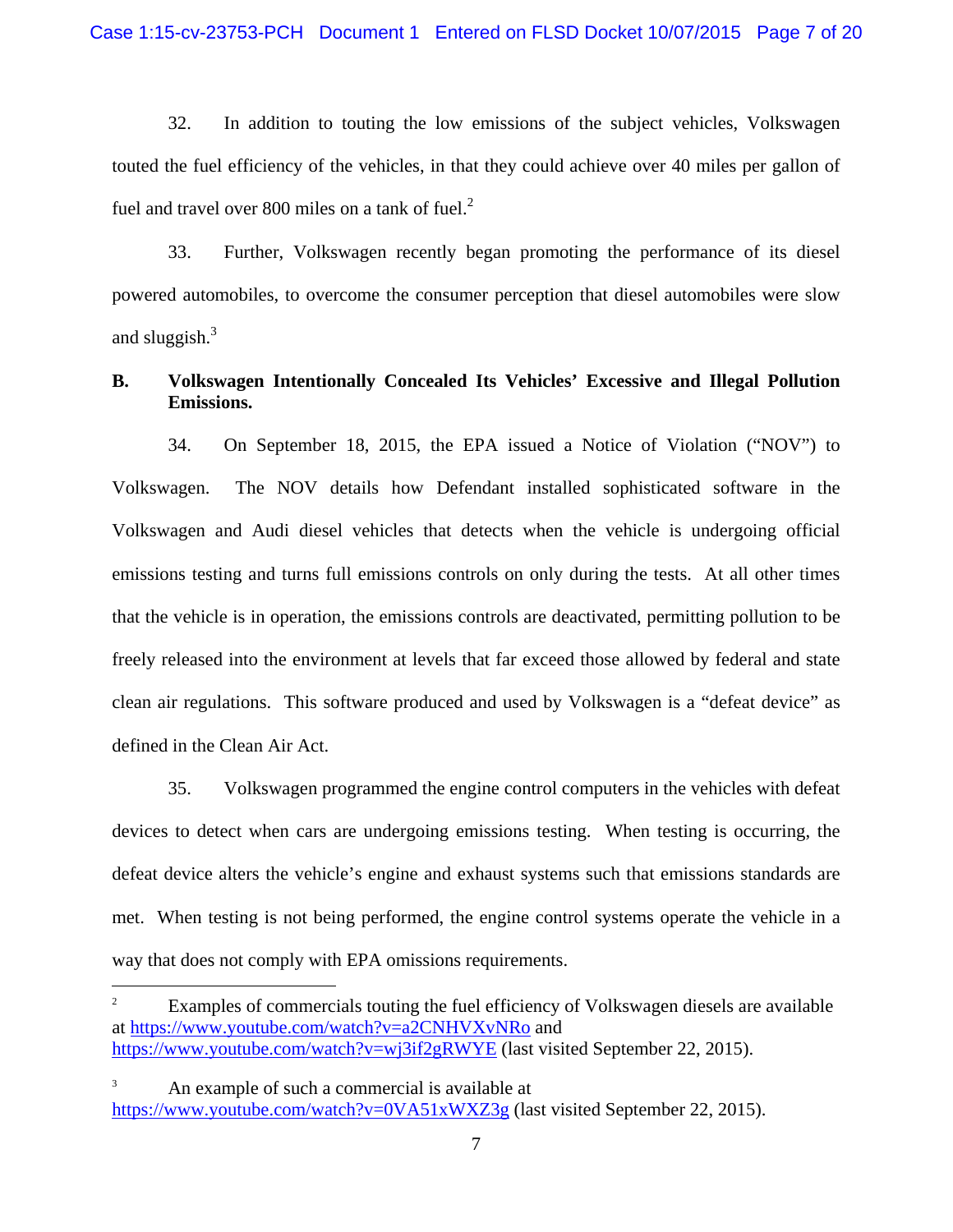32. In addition to touting the low emissions of the subject vehicles, Volkswagen touted the fuel efficiency of the vehicles, in that they could achieve over 40 miles per gallon of fuel and travel over 800 miles on a tank of fuel. $2<sup>2</sup>$ 

33. Further, Volkswagen recently began promoting the performance of its diesel powered automobiles, to overcome the consumer perception that diesel automobiles were slow and sluggish. $3$ 

# **B. Volkswagen Intentionally Concealed Its Vehicles' Excessive and Illegal Pollution Emissions.**

34. On September 18, 2015, the EPA issued a Notice of Violation ("NOV") to Volkswagen. The NOV details how Defendant installed sophisticated software in the Volkswagen and Audi diesel vehicles that detects when the vehicle is undergoing official emissions testing and turns full emissions controls on only during the tests. At all other times that the vehicle is in operation, the emissions controls are deactivated, permitting pollution to be freely released into the environment at levels that far exceed those allowed by federal and state clean air regulations. This software produced and used by Volkswagen is a "defeat device" as defined in the Clean Air Act.

35. Volkswagen programmed the engine control computers in the vehicles with defeat devices to detect when cars are undergoing emissions testing. When testing is occurring, the defeat device alters the vehicle's engine and exhaust systems such that emissions standards are met. When testing is not being performed, the engine control systems operate the vehicle in a way that does not comply with EPA omissions requirements.

 $\overline{a}$ 

<sup>&</sup>lt;sup>2</sup> Examples of commercials touting the fuel efficiency of Volkswagen diesels are available at https://www.youtube.com/watch?v=a2CNHVXvNRo and https://www.youtube.com/watch?v=wj3if2gRWYE (last visited September 22, 2015).

An example of such a commercial is available at https://www.youtube.com/watch?v=0VA51xWXZ3g (last visited September 22, 2015).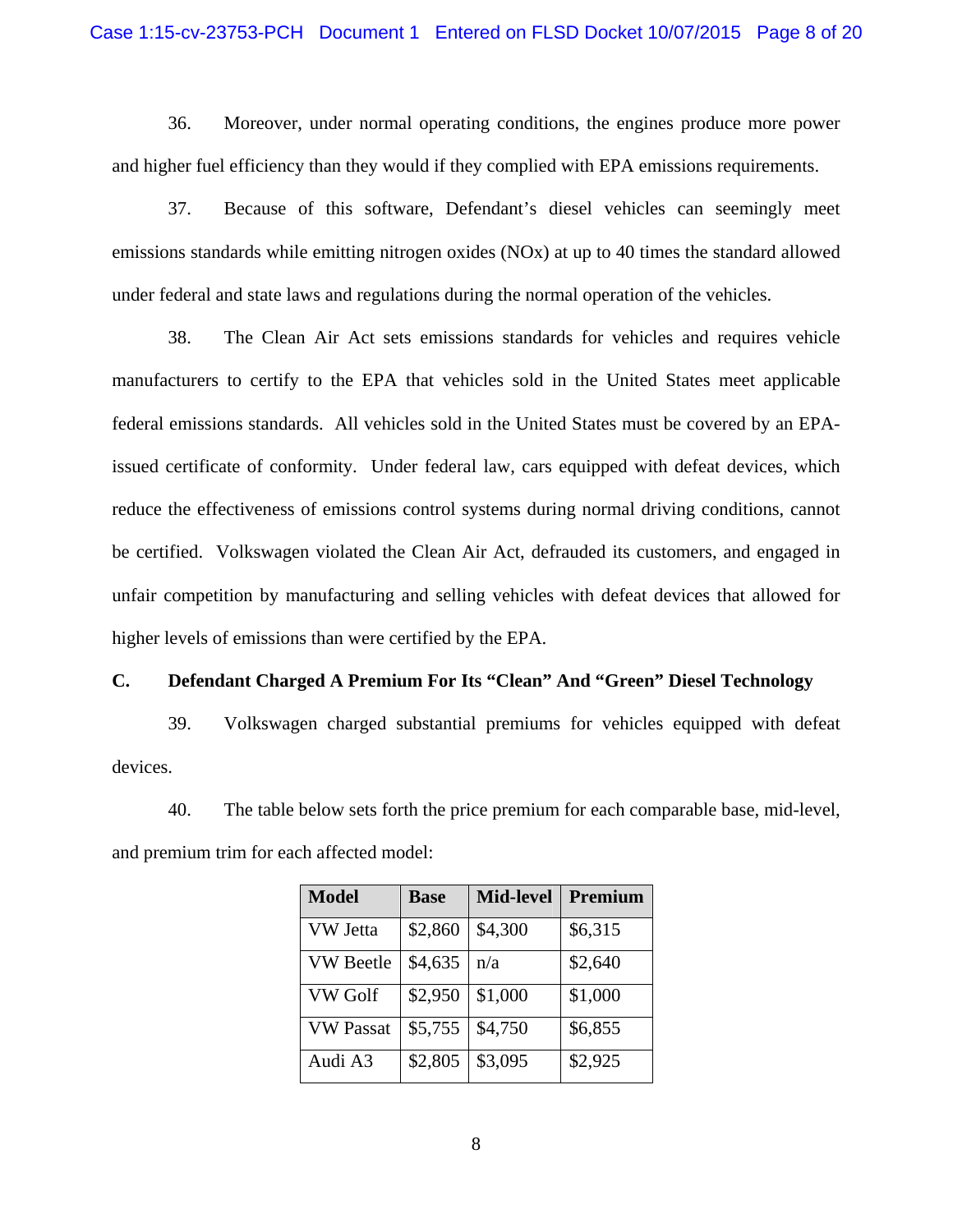36. Moreover, under normal operating conditions, the engines produce more power and higher fuel efficiency than they would if they complied with EPA emissions requirements.

37. Because of this software, Defendant's diesel vehicles can seemingly meet emissions standards while emitting nitrogen oxides (NOx) at up to 40 times the standard allowed under federal and state laws and regulations during the normal operation of the vehicles.

38. The Clean Air Act sets emissions standards for vehicles and requires vehicle manufacturers to certify to the EPA that vehicles sold in the United States meet applicable federal emissions standards. All vehicles sold in the United States must be covered by an EPAissued certificate of conformity. Under federal law, cars equipped with defeat devices, which reduce the effectiveness of emissions control systems during normal driving conditions, cannot be certified. Volkswagen violated the Clean Air Act, defrauded its customers, and engaged in unfair competition by manufacturing and selling vehicles with defeat devices that allowed for higher levels of emissions than were certified by the EPA.

### **C. Defendant Charged A Premium For Its "Clean" And "Green" Diesel Technology**

39. Volkswagen charged substantial premiums for vehicles equipped with defeat devices.

40. The table below sets forth the price premium for each comparable base, mid-level, and premium trim for each affected model:

| Model            | <b>Base</b> | <b>Mid-level</b> | <b>Premium</b> |
|------------------|-------------|------------------|----------------|
| <b>VW</b> Jetta  | \$2,860     | \$4,300          | \$6,315        |
| <b>VW</b> Beetle | \$4,635     | n/a              | \$2,640        |
| VW Golf          | \$2,950     | \$1,000          | \$1,000        |
| <b>VW Passat</b> | \$5,755     | \$4,750          | \$6,855        |
| Audi A3          | \$2,805     | \$3,095          | \$2,925        |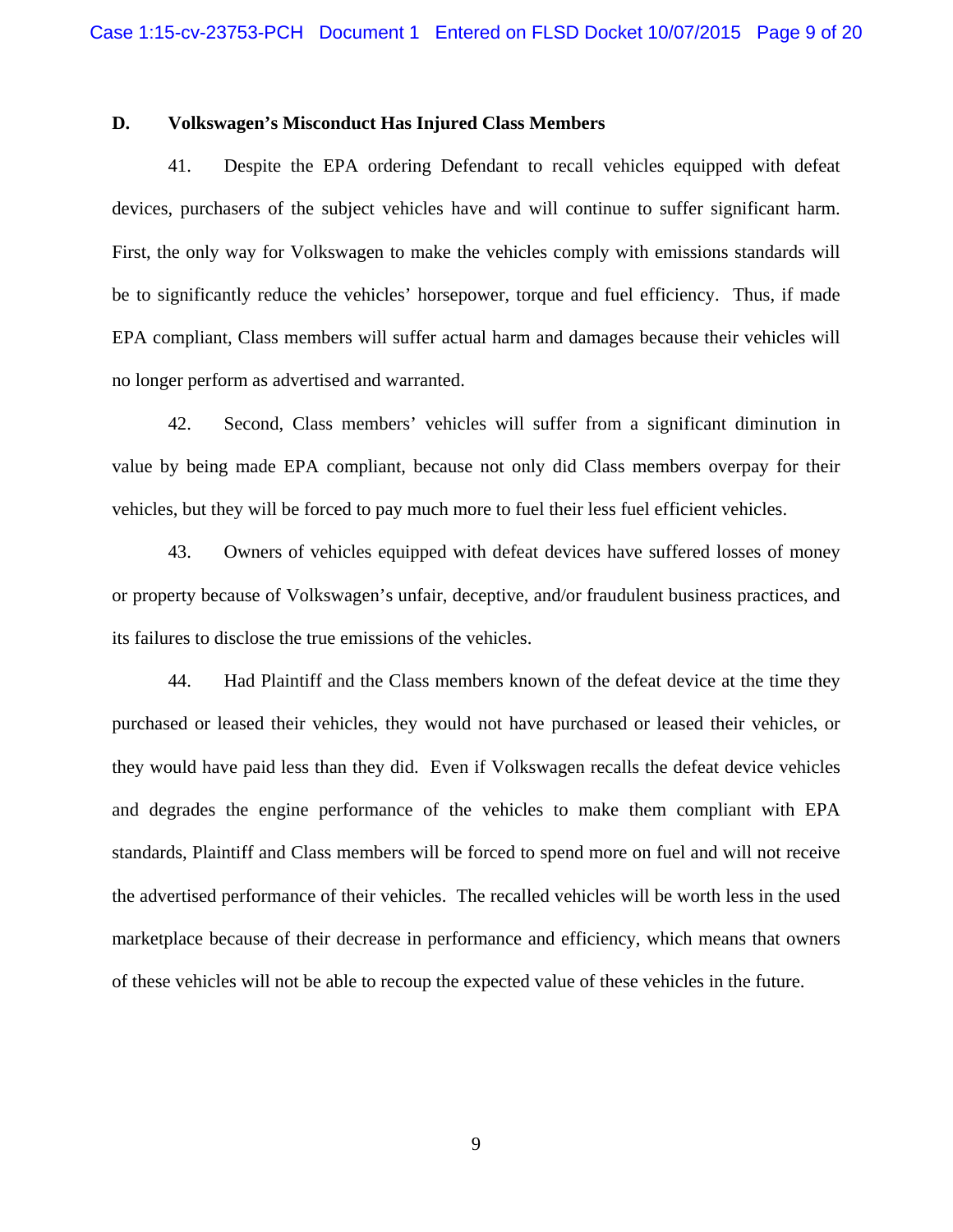#### **D. Volkswagen's Misconduct Has Injured Class Members**

41. Despite the EPA ordering Defendant to recall vehicles equipped with defeat devices, purchasers of the subject vehicles have and will continue to suffer significant harm. First, the only way for Volkswagen to make the vehicles comply with emissions standards will be to significantly reduce the vehicles' horsepower, torque and fuel efficiency. Thus, if made EPA compliant, Class members will suffer actual harm and damages because their vehicles will no longer perform as advertised and warranted.

42. Second, Class members' vehicles will suffer from a significant diminution in value by being made EPA compliant, because not only did Class members overpay for their vehicles, but they will be forced to pay much more to fuel their less fuel efficient vehicles.

43. Owners of vehicles equipped with defeat devices have suffered losses of money or property because of Volkswagen's unfair, deceptive, and/or fraudulent business practices, and its failures to disclose the true emissions of the vehicles.

44. Had Plaintiff and the Class members known of the defeat device at the time they purchased or leased their vehicles, they would not have purchased or leased their vehicles, or they would have paid less than they did. Even if Volkswagen recalls the defeat device vehicles and degrades the engine performance of the vehicles to make them compliant with EPA standards, Plaintiff and Class members will be forced to spend more on fuel and will not receive the advertised performance of their vehicles. The recalled vehicles will be worth less in the used marketplace because of their decrease in performance and efficiency, which means that owners of these vehicles will not be able to recoup the expected value of these vehicles in the future.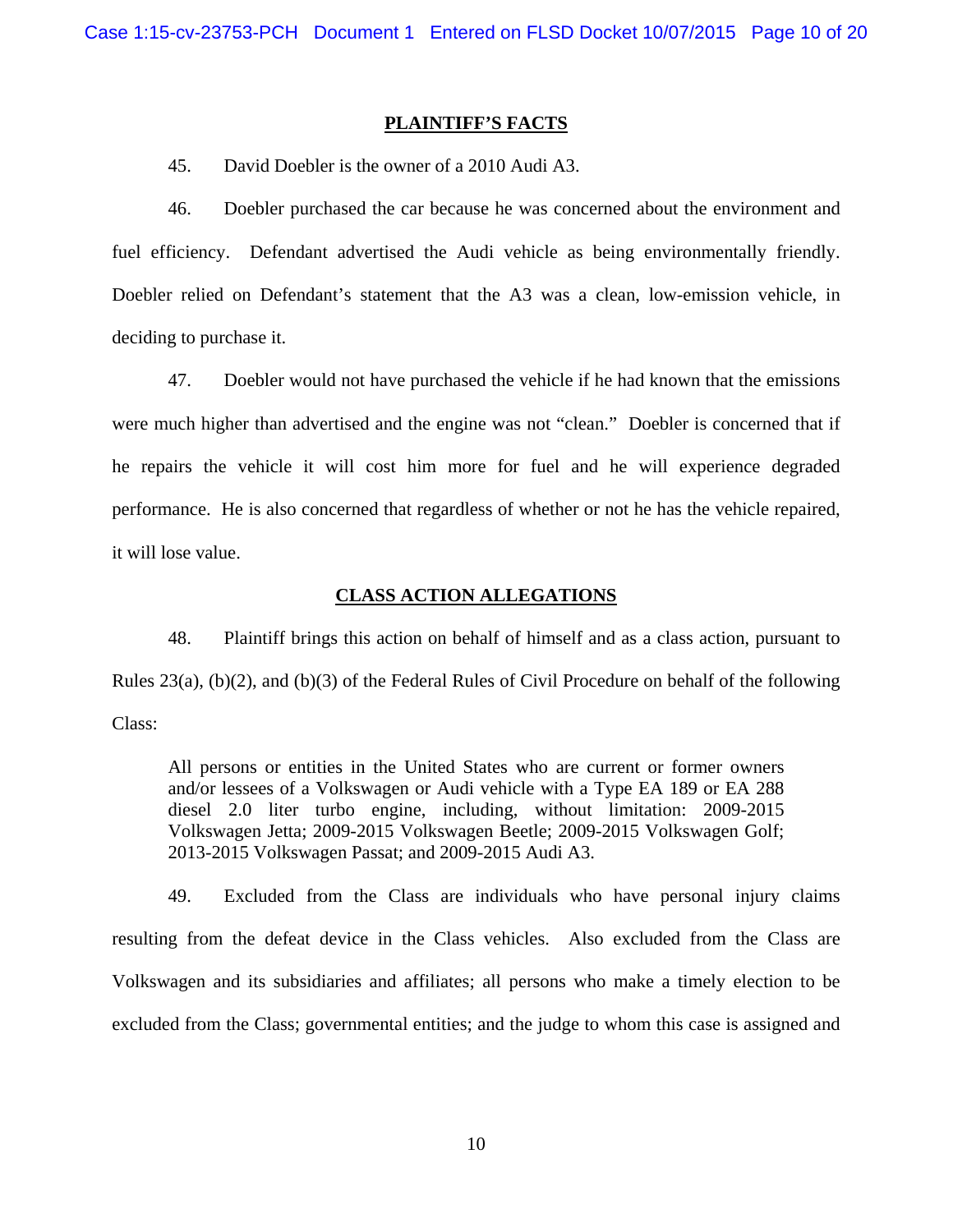### **PLAINTIFF'S FACTS**

45. David Doebler is the owner of a 2010 Audi A3.

46. Doebler purchased the car because he was concerned about the environment and fuel efficiency. Defendant advertised the Audi vehicle as being environmentally friendly. Doebler relied on Defendant's statement that the A3 was a clean, low-emission vehicle, in deciding to purchase it.

47. Doebler would not have purchased the vehicle if he had known that the emissions were much higher than advertised and the engine was not "clean." Doebler is concerned that if he repairs the vehicle it will cost him more for fuel and he will experience degraded performance. He is also concerned that regardless of whether or not he has the vehicle repaired, it will lose value.

### **CLASS ACTION ALLEGATIONS**

48. Plaintiff brings this action on behalf of himself and as a class action, pursuant to Rules 23(a), (b)(2), and (b)(3) of the Federal Rules of Civil Procedure on behalf of the following Class:

All persons or entities in the United States who are current or former owners and/or lessees of a Volkswagen or Audi vehicle with a Type EA 189 or EA 288 diesel 2.0 liter turbo engine, including, without limitation: 2009-2015 Volkswagen Jetta; 2009-2015 Volkswagen Beetle; 2009-2015 Volkswagen Golf; 2013-2015 Volkswagen Passat; and 2009-2015 Audi A3.

49. Excluded from the Class are individuals who have personal injury claims resulting from the defeat device in the Class vehicles. Also excluded from the Class are Volkswagen and its subsidiaries and affiliates; all persons who make a timely election to be excluded from the Class; governmental entities; and the judge to whom this case is assigned and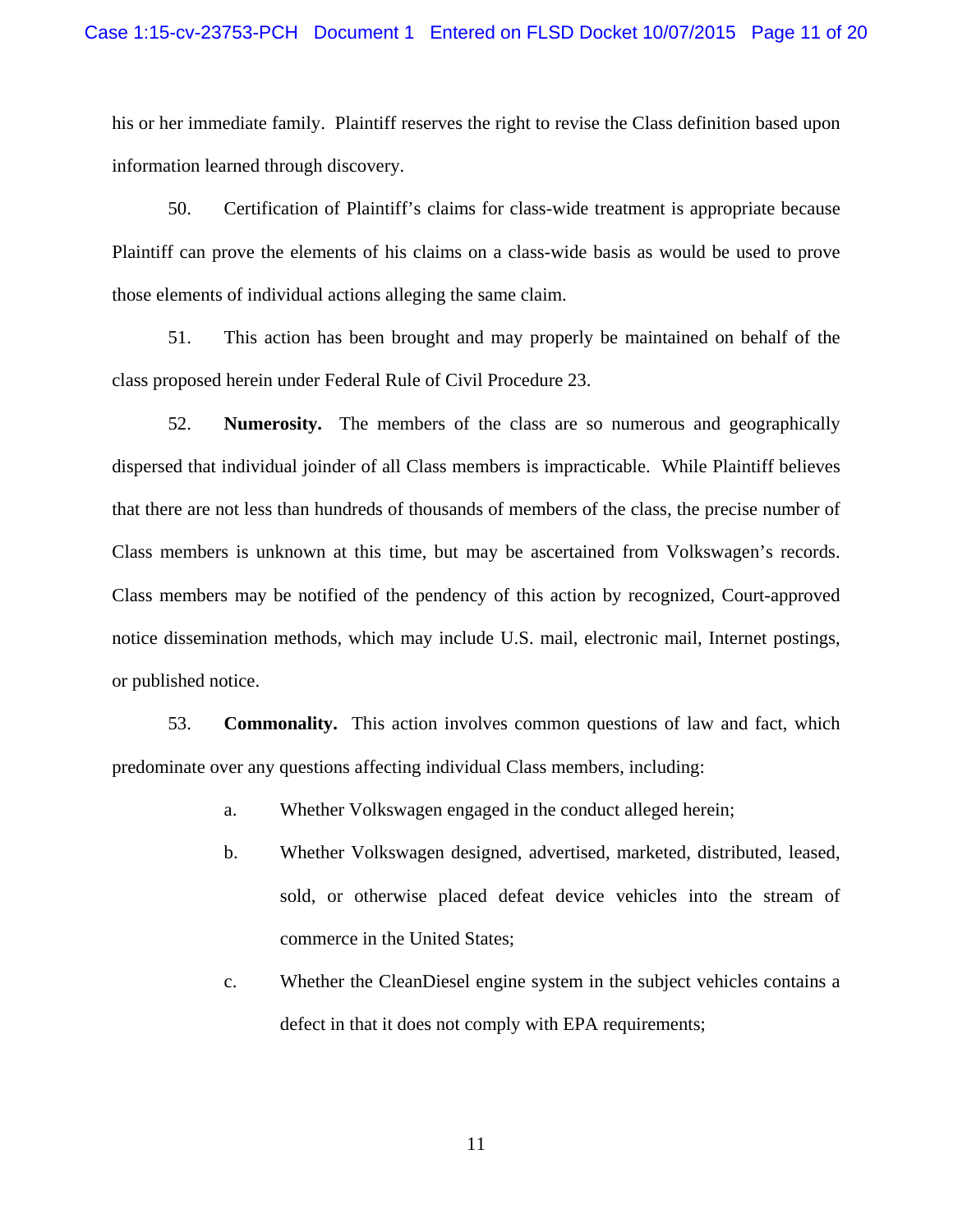his or her immediate family. Plaintiff reserves the right to revise the Class definition based upon information learned through discovery.

50. Certification of Plaintiff's claims for class-wide treatment is appropriate because Plaintiff can prove the elements of his claims on a class-wide basis as would be used to prove those elements of individual actions alleging the same claim.

51. This action has been brought and may properly be maintained on behalf of the class proposed herein under Federal Rule of Civil Procedure 23.

52. **Numerosity.** The members of the class are so numerous and geographically dispersed that individual joinder of all Class members is impracticable. While Plaintiff believes that there are not less than hundreds of thousands of members of the class, the precise number of Class members is unknown at this time, but may be ascertained from Volkswagen's records. Class members may be notified of the pendency of this action by recognized, Court-approved notice dissemination methods, which may include U.S. mail, electronic mail, Internet postings, or published notice.

53. **Commonality.** This action involves common questions of law and fact, which predominate over any questions affecting individual Class members, including:

- a. Whether Volkswagen engaged in the conduct alleged herein;
- b. Whether Volkswagen designed, advertised, marketed, distributed, leased, sold, or otherwise placed defeat device vehicles into the stream of commerce in the United States;
- c. Whether the CleanDiesel engine system in the subject vehicles contains a defect in that it does not comply with EPA requirements;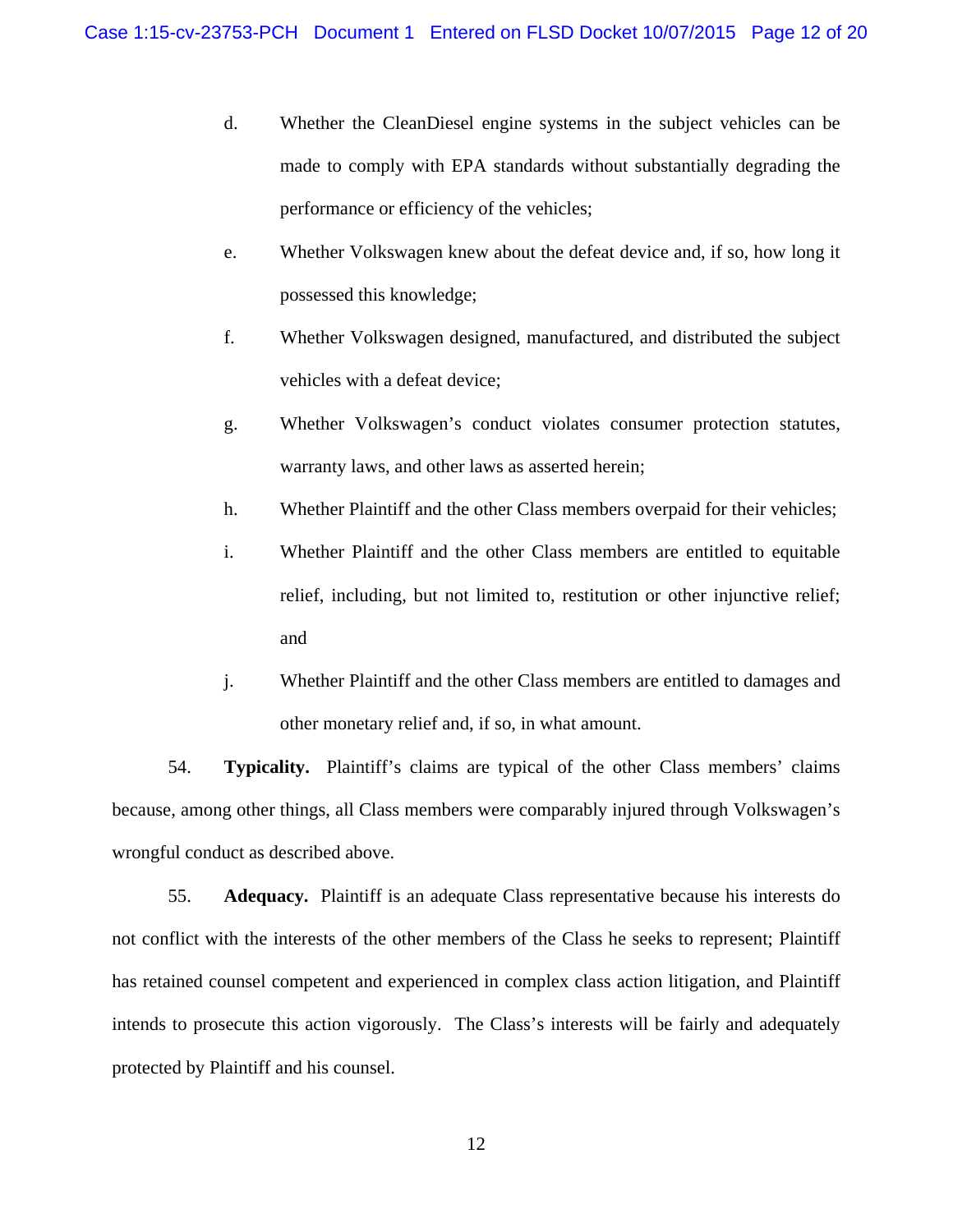- d. Whether the CleanDiesel engine systems in the subject vehicles can be made to comply with EPA standards without substantially degrading the performance or efficiency of the vehicles;
- e. Whether Volkswagen knew about the defeat device and, if so, how long it possessed this knowledge;
- f. Whether Volkswagen designed, manufactured, and distributed the subject vehicles with a defeat device;
- g. Whether Volkswagen's conduct violates consumer protection statutes, warranty laws, and other laws as asserted herein;
- h. Whether Plaintiff and the other Class members overpaid for their vehicles;
- i. Whether Plaintiff and the other Class members are entitled to equitable relief, including, but not limited to, restitution or other injunctive relief; and
- j. Whether Plaintiff and the other Class members are entitled to damages and other monetary relief and, if so, in what amount.

54. **Typicality.** Plaintiff's claims are typical of the other Class members' claims because, among other things, all Class members were comparably injured through Volkswagen's wrongful conduct as described above.

55. **Adequacy.** Plaintiff is an adequate Class representative because his interests do not conflict with the interests of the other members of the Class he seeks to represent; Plaintiff has retained counsel competent and experienced in complex class action litigation, and Plaintiff intends to prosecute this action vigorously. The Class's interests will be fairly and adequately protected by Plaintiff and his counsel.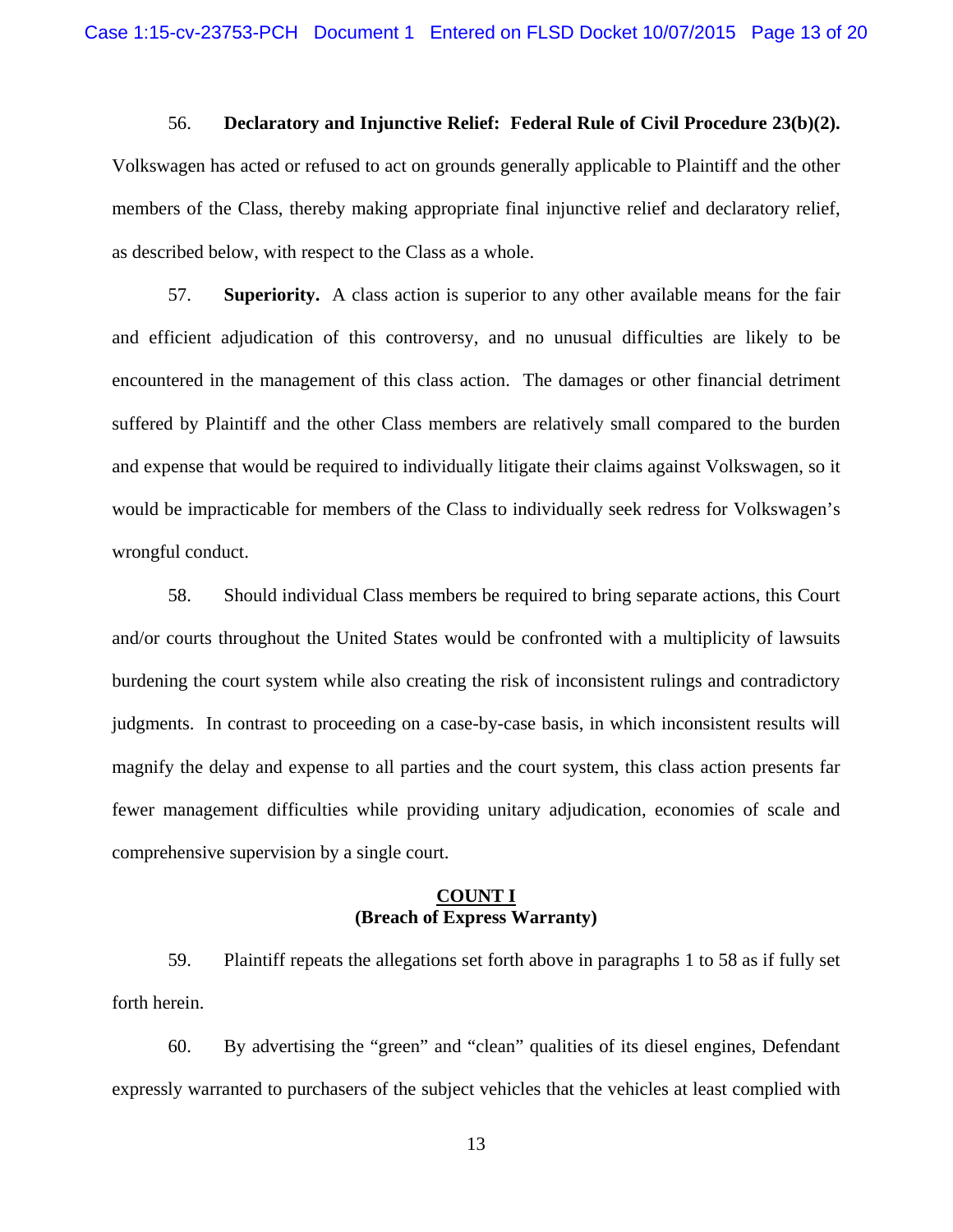#### 56. **Declaratory and Injunctive Relief: Federal Rule of Civil Procedure 23(b)(2).**

Volkswagen has acted or refused to act on grounds generally applicable to Plaintiff and the other members of the Class, thereby making appropriate final injunctive relief and declaratory relief, as described below, with respect to the Class as a whole.

57. **Superiority.** A class action is superior to any other available means for the fair and efficient adjudication of this controversy, and no unusual difficulties are likely to be encountered in the management of this class action. The damages or other financial detriment suffered by Plaintiff and the other Class members are relatively small compared to the burden and expense that would be required to individually litigate their claims against Volkswagen, so it would be impracticable for members of the Class to individually seek redress for Volkswagen's wrongful conduct.

58. Should individual Class members be required to bring separate actions, this Court and/or courts throughout the United States would be confronted with a multiplicity of lawsuits burdening the court system while also creating the risk of inconsistent rulings and contradictory judgments. In contrast to proceeding on a case-by-case basis, in which inconsistent results will magnify the delay and expense to all parties and the court system, this class action presents far fewer management difficulties while providing unitary adjudication, economies of scale and comprehensive supervision by a single court.

# **COUNT I (Breach of Express Warranty)**

59. Plaintiff repeats the allegations set forth above in paragraphs 1 to 58 as if fully set forth herein.

60. By advertising the "green" and "clean" qualities of its diesel engines, Defendant expressly warranted to purchasers of the subject vehicles that the vehicles at least complied with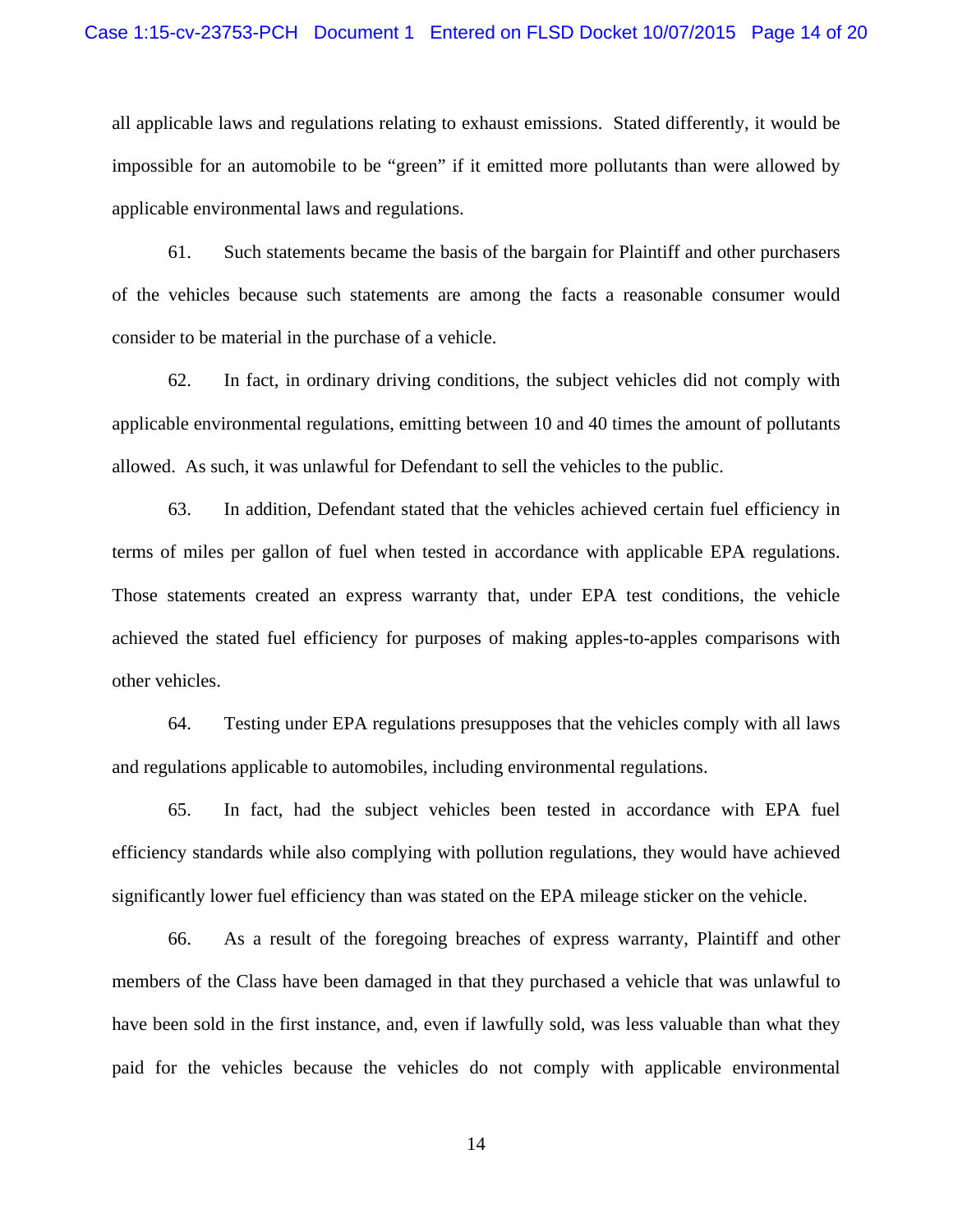all applicable laws and regulations relating to exhaust emissions. Stated differently, it would be impossible for an automobile to be "green" if it emitted more pollutants than were allowed by applicable environmental laws and regulations.

61. Such statements became the basis of the bargain for Plaintiff and other purchasers of the vehicles because such statements are among the facts a reasonable consumer would consider to be material in the purchase of a vehicle.

62. In fact, in ordinary driving conditions, the subject vehicles did not comply with applicable environmental regulations, emitting between 10 and 40 times the amount of pollutants allowed. As such, it was unlawful for Defendant to sell the vehicles to the public.

63. In addition, Defendant stated that the vehicles achieved certain fuel efficiency in terms of miles per gallon of fuel when tested in accordance with applicable EPA regulations. Those statements created an express warranty that, under EPA test conditions, the vehicle achieved the stated fuel efficiency for purposes of making apples-to-apples comparisons with other vehicles.

64. Testing under EPA regulations presupposes that the vehicles comply with all laws and regulations applicable to automobiles, including environmental regulations.

65. In fact, had the subject vehicles been tested in accordance with EPA fuel efficiency standards while also complying with pollution regulations, they would have achieved significantly lower fuel efficiency than was stated on the EPA mileage sticker on the vehicle.

66. As a result of the foregoing breaches of express warranty, Plaintiff and other members of the Class have been damaged in that they purchased a vehicle that was unlawful to have been sold in the first instance, and, even if lawfully sold, was less valuable than what they paid for the vehicles because the vehicles do not comply with applicable environmental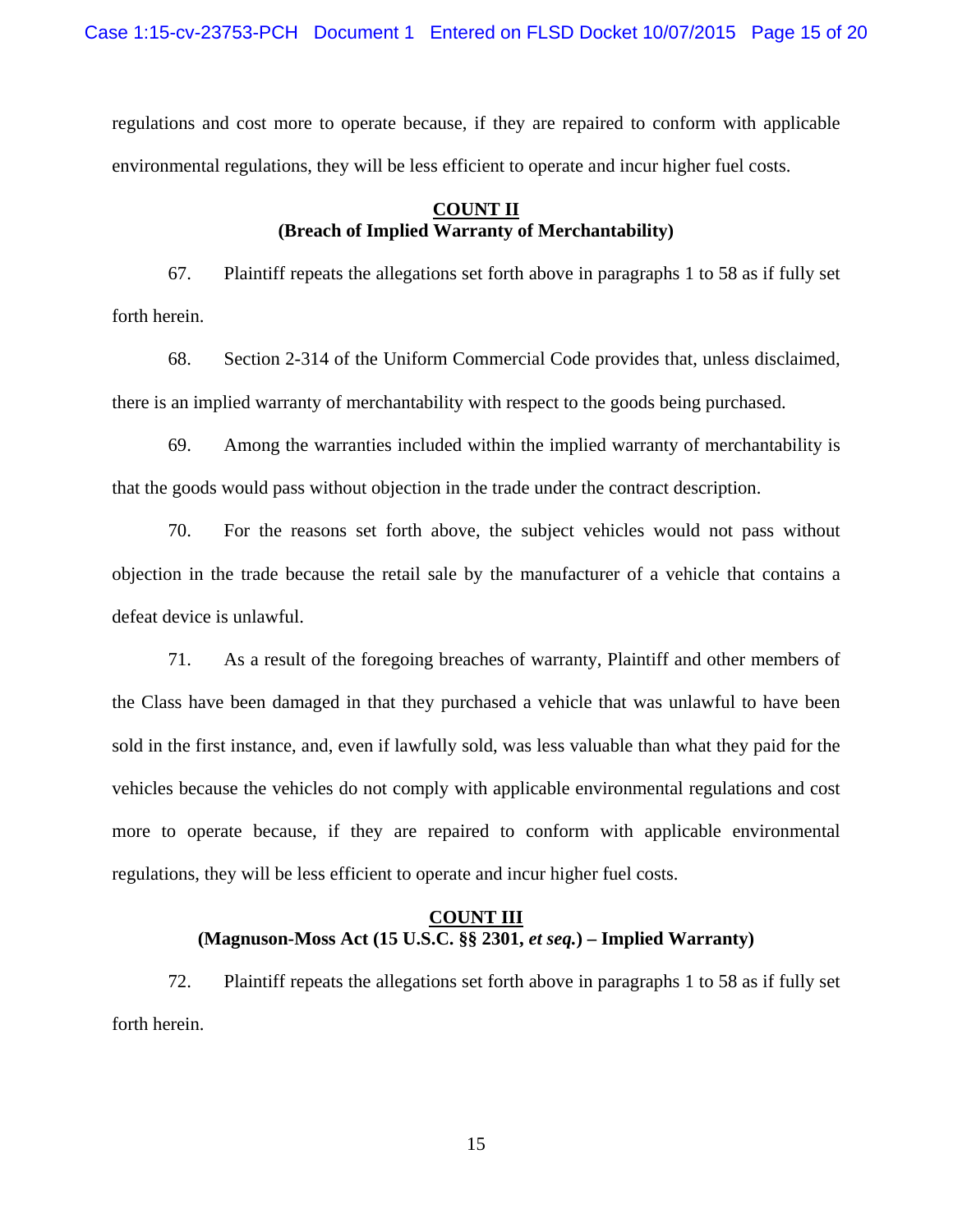regulations and cost more to operate because, if they are repaired to conform with applicable environmental regulations, they will be less efficient to operate and incur higher fuel costs.

## **COUNT II (Breach of Implied Warranty of Merchantability)**

67. Plaintiff repeats the allegations set forth above in paragraphs 1 to 58 as if fully set forth herein.

68. Section 2-314 of the Uniform Commercial Code provides that, unless disclaimed, there is an implied warranty of merchantability with respect to the goods being purchased.

69. Among the warranties included within the implied warranty of merchantability is that the goods would pass without objection in the trade under the contract description.

70. For the reasons set forth above, the subject vehicles would not pass without objection in the trade because the retail sale by the manufacturer of a vehicle that contains a defeat device is unlawful.

71. As a result of the foregoing breaches of warranty, Plaintiff and other members of the Class have been damaged in that they purchased a vehicle that was unlawful to have been sold in the first instance, and, even if lawfully sold, was less valuable than what they paid for the vehicles because the vehicles do not comply with applicable environmental regulations and cost more to operate because, if they are repaired to conform with applicable environmental regulations, they will be less efficient to operate and incur higher fuel costs.

# **COUNT III (Magnuson-Moss Act (15 U.S.C. §§ 2301,** *et seq.***) – Implied Warranty)**

72. Plaintiff repeats the allegations set forth above in paragraphs 1 to 58 as if fully set forth herein.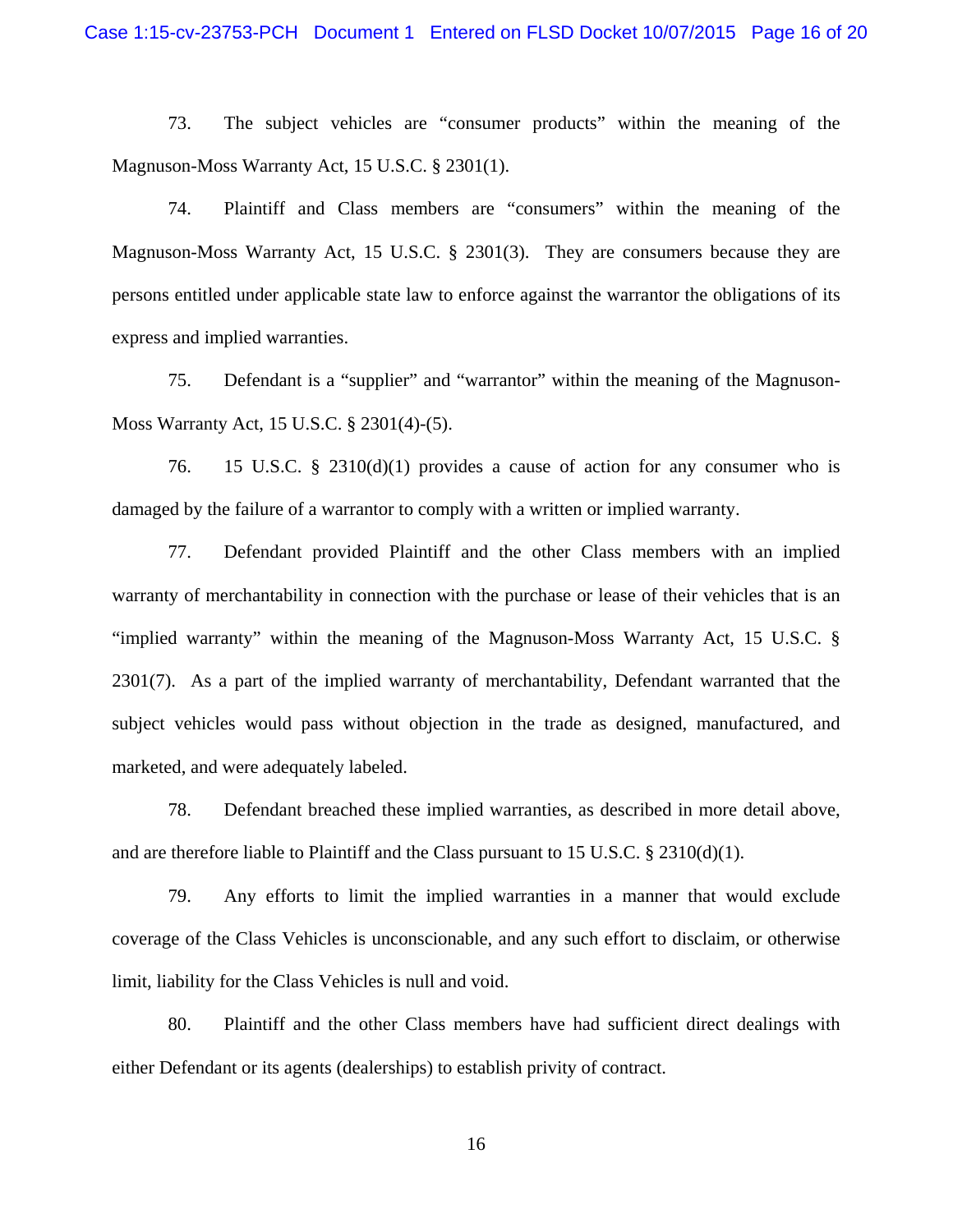73. The subject vehicles are "consumer products" within the meaning of the Magnuson-Moss Warranty Act, 15 U.S.C. § 2301(1).

74. Plaintiff and Class members are "consumers" within the meaning of the Magnuson-Moss Warranty Act, 15 U.S.C. § 2301(3). They are consumers because they are persons entitled under applicable state law to enforce against the warrantor the obligations of its express and implied warranties.

75. Defendant is a "supplier" and "warrantor" within the meaning of the Magnuson-Moss Warranty Act, 15 U.S.C. § 2301(4)-(5).

76. 15 U.S.C. § 2310(d)(1) provides a cause of action for any consumer who is damaged by the failure of a warrantor to comply with a written or implied warranty.

77. Defendant provided Plaintiff and the other Class members with an implied warranty of merchantability in connection with the purchase or lease of their vehicles that is an "implied warranty" within the meaning of the Magnuson-Moss Warranty Act, 15 U.S.C. § 2301(7). As a part of the implied warranty of merchantability, Defendant warranted that the subject vehicles would pass without objection in the trade as designed, manufactured, and marketed, and were adequately labeled.

78. Defendant breached these implied warranties, as described in more detail above, and are therefore liable to Plaintiff and the Class pursuant to 15 U.S.C. § 2310(d)(1).

79. Any efforts to limit the implied warranties in a manner that would exclude coverage of the Class Vehicles is unconscionable, and any such effort to disclaim, or otherwise limit, liability for the Class Vehicles is null and void.

80. Plaintiff and the other Class members have had sufficient direct dealings with either Defendant or its agents (dealerships) to establish privity of contract.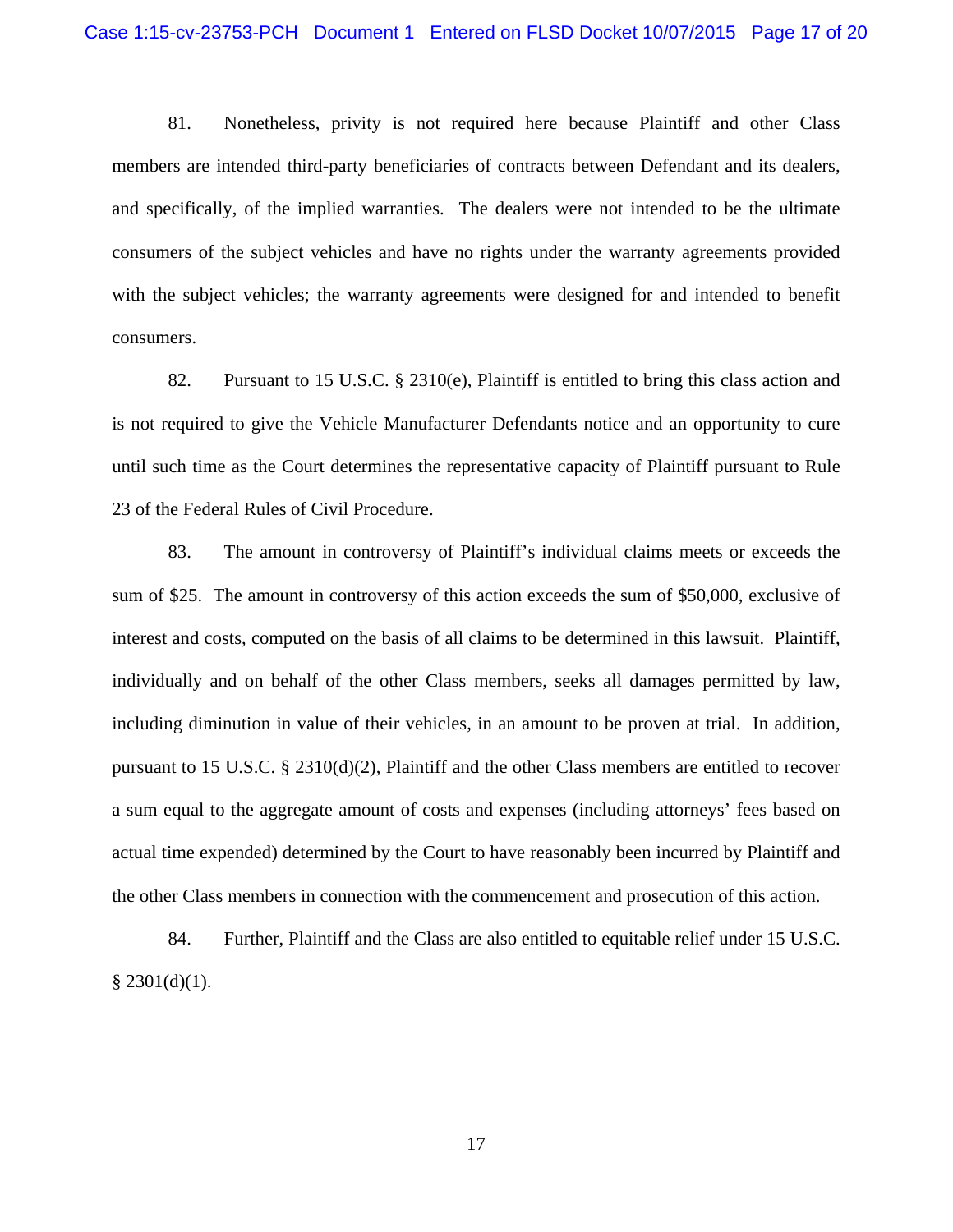81. Nonetheless, privity is not required here because Plaintiff and other Class members are intended third-party beneficiaries of contracts between Defendant and its dealers, and specifically, of the implied warranties. The dealers were not intended to be the ultimate consumers of the subject vehicles and have no rights under the warranty agreements provided with the subject vehicles; the warranty agreements were designed for and intended to benefit consumers.

82. Pursuant to 15 U.S.C. § 2310(e), Plaintiff is entitled to bring this class action and is not required to give the Vehicle Manufacturer Defendants notice and an opportunity to cure until such time as the Court determines the representative capacity of Plaintiff pursuant to Rule 23 of the Federal Rules of Civil Procedure.

83. The amount in controversy of Plaintiff's individual claims meets or exceeds the sum of \$25. The amount in controversy of this action exceeds the sum of \$50,000, exclusive of interest and costs, computed on the basis of all claims to be determined in this lawsuit. Plaintiff, individually and on behalf of the other Class members, seeks all damages permitted by law, including diminution in value of their vehicles, in an amount to be proven at trial. In addition, pursuant to 15 U.S.C. § 2310(d)(2), Plaintiff and the other Class members are entitled to recover a sum equal to the aggregate amount of costs and expenses (including attorneys' fees based on actual time expended) determined by the Court to have reasonably been incurred by Plaintiff and the other Class members in connection with the commencement and prosecution of this action.

84. Further, Plaintiff and the Class are also entitled to equitable relief under 15 U.S.C.  $§$  2301(d)(1).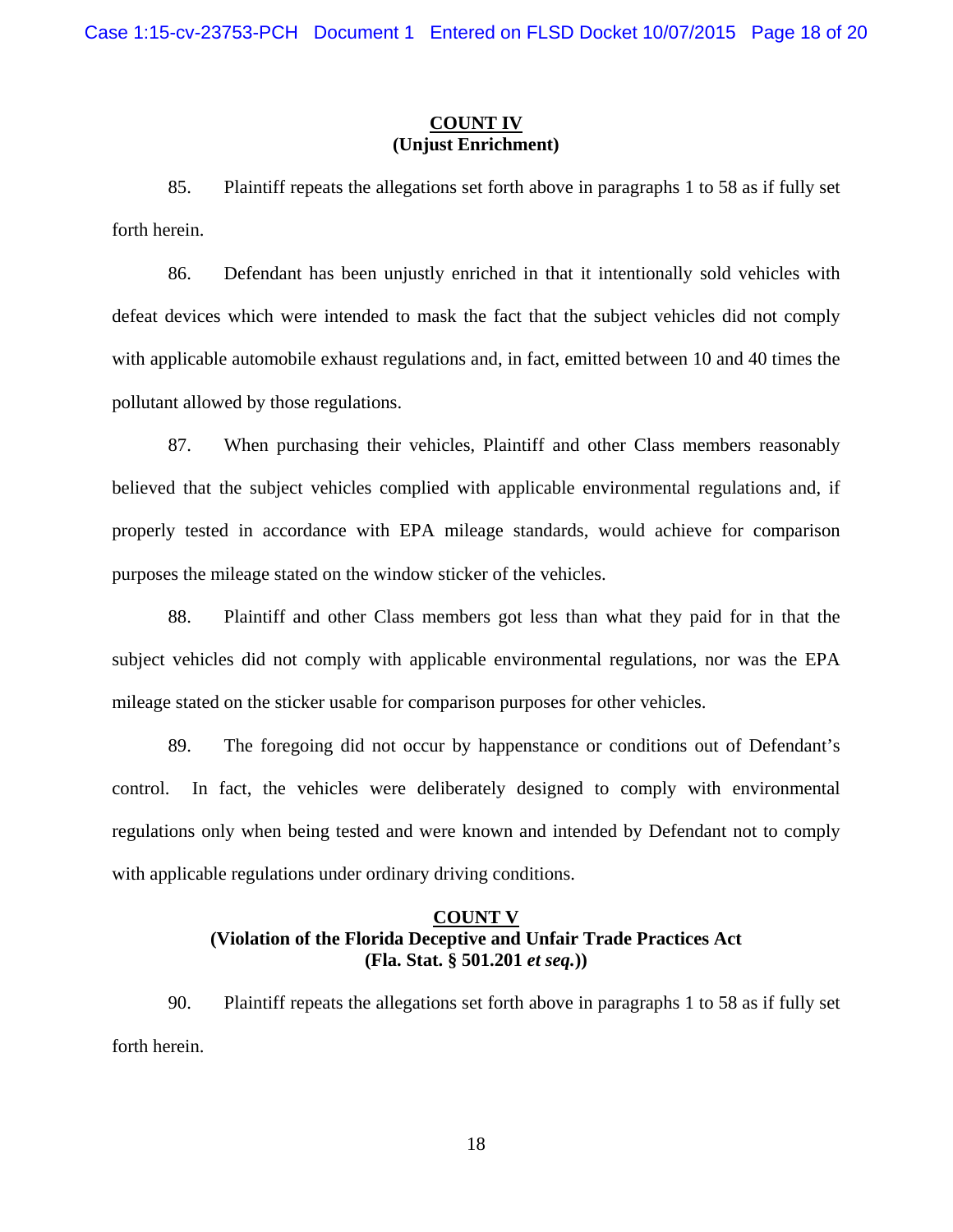# **COUNT IV (Unjust Enrichment)**

85. Plaintiff repeats the allegations set forth above in paragraphs 1 to 58 as if fully set forth herein.

86. Defendant has been unjustly enriched in that it intentionally sold vehicles with defeat devices which were intended to mask the fact that the subject vehicles did not comply with applicable automobile exhaust regulations and, in fact, emitted between 10 and 40 times the pollutant allowed by those regulations.

87. When purchasing their vehicles, Plaintiff and other Class members reasonably believed that the subject vehicles complied with applicable environmental regulations and, if properly tested in accordance with EPA mileage standards, would achieve for comparison purposes the mileage stated on the window sticker of the vehicles.

88. Plaintiff and other Class members got less than what they paid for in that the subject vehicles did not comply with applicable environmental regulations, nor was the EPA mileage stated on the sticker usable for comparison purposes for other vehicles.

89. The foregoing did not occur by happenstance or conditions out of Defendant's control. In fact, the vehicles were deliberately designed to comply with environmental regulations only when being tested and were known and intended by Defendant not to comply with applicable regulations under ordinary driving conditions.

# **COUNT V (Violation of the Florida Deceptive and Unfair Trade Practices Act (Fla. Stat. § 501.201** *et seq.***))**

90. Plaintiff repeats the allegations set forth above in paragraphs 1 to 58 as if fully set forth herein.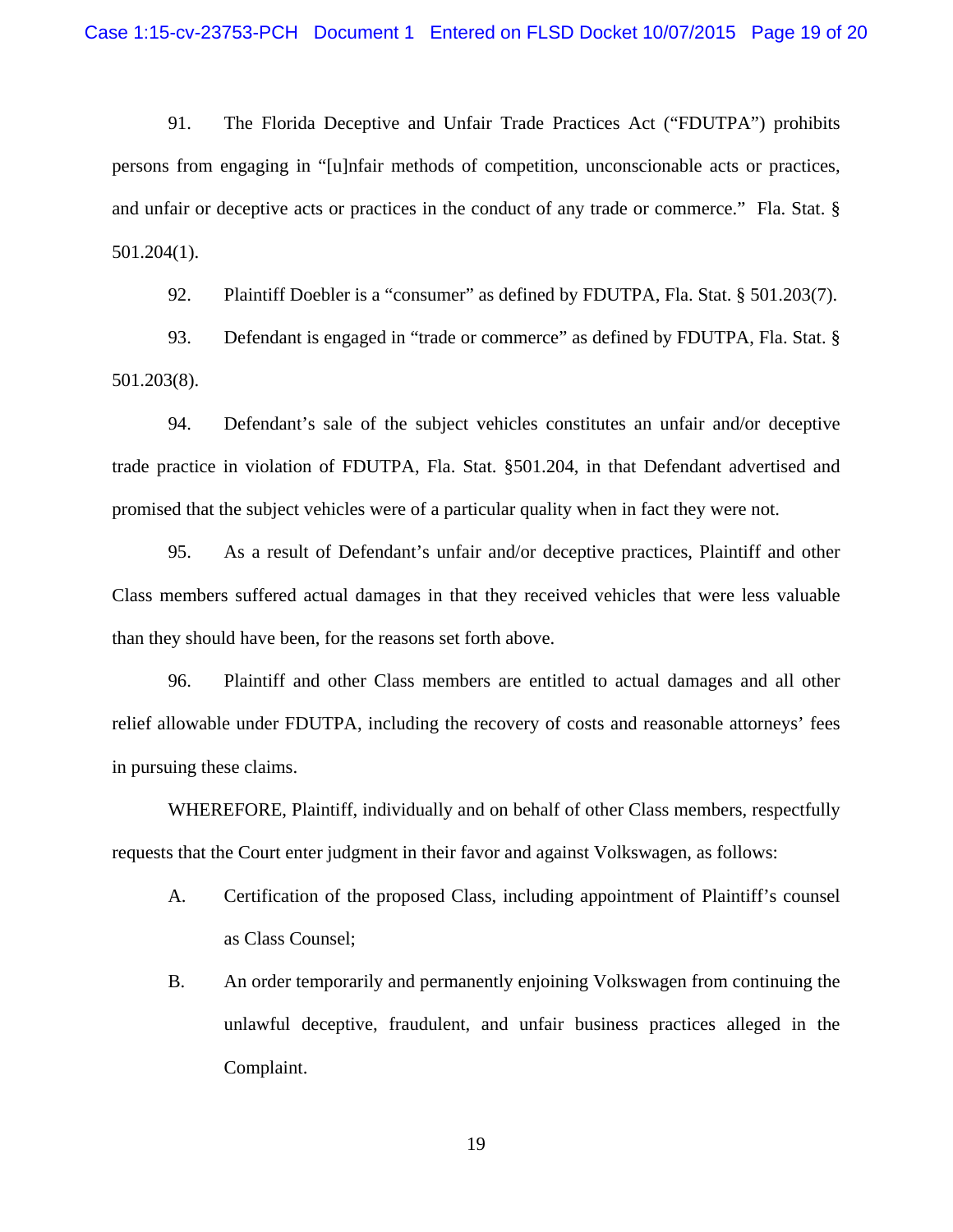91. The Florida Deceptive and Unfair Trade Practices Act ("FDUTPA") prohibits persons from engaging in "[u]nfair methods of competition, unconscionable acts or practices, and unfair or deceptive acts or practices in the conduct of any trade or commerce." Fla. Stat. § 501.204(1).

92. Plaintiff Doebler is a "consumer" as defined by FDUTPA, Fla. Stat. § 501.203(7).

93. Defendant is engaged in "trade or commerce" as defined by FDUTPA, Fla. Stat. § 501.203(8).

94. Defendant's sale of the subject vehicles constitutes an unfair and/or deceptive trade practice in violation of FDUTPA, Fla. Stat. §501.204, in that Defendant advertised and promised that the subject vehicles were of a particular quality when in fact they were not.

95. As a result of Defendant's unfair and/or deceptive practices, Plaintiff and other Class members suffered actual damages in that they received vehicles that were less valuable than they should have been, for the reasons set forth above.

96. Plaintiff and other Class members are entitled to actual damages and all other relief allowable under FDUTPA, including the recovery of costs and reasonable attorneys' fees in pursuing these claims.

 WHEREFORE, Plaintiff, individually and on behalf of other Class members, respectfully requests that the Court enter judgment in their favor and against Volkswagen, as follows:

- A. Certification of the proposed Class, including appointment of Plaintiff's counsel as Class Counsel;
- B. An order temporarily and permanently enjoining Volkswagen from continuing the unlawful deceptive, fraudulent, and unfair business practices alleged in the Complaint.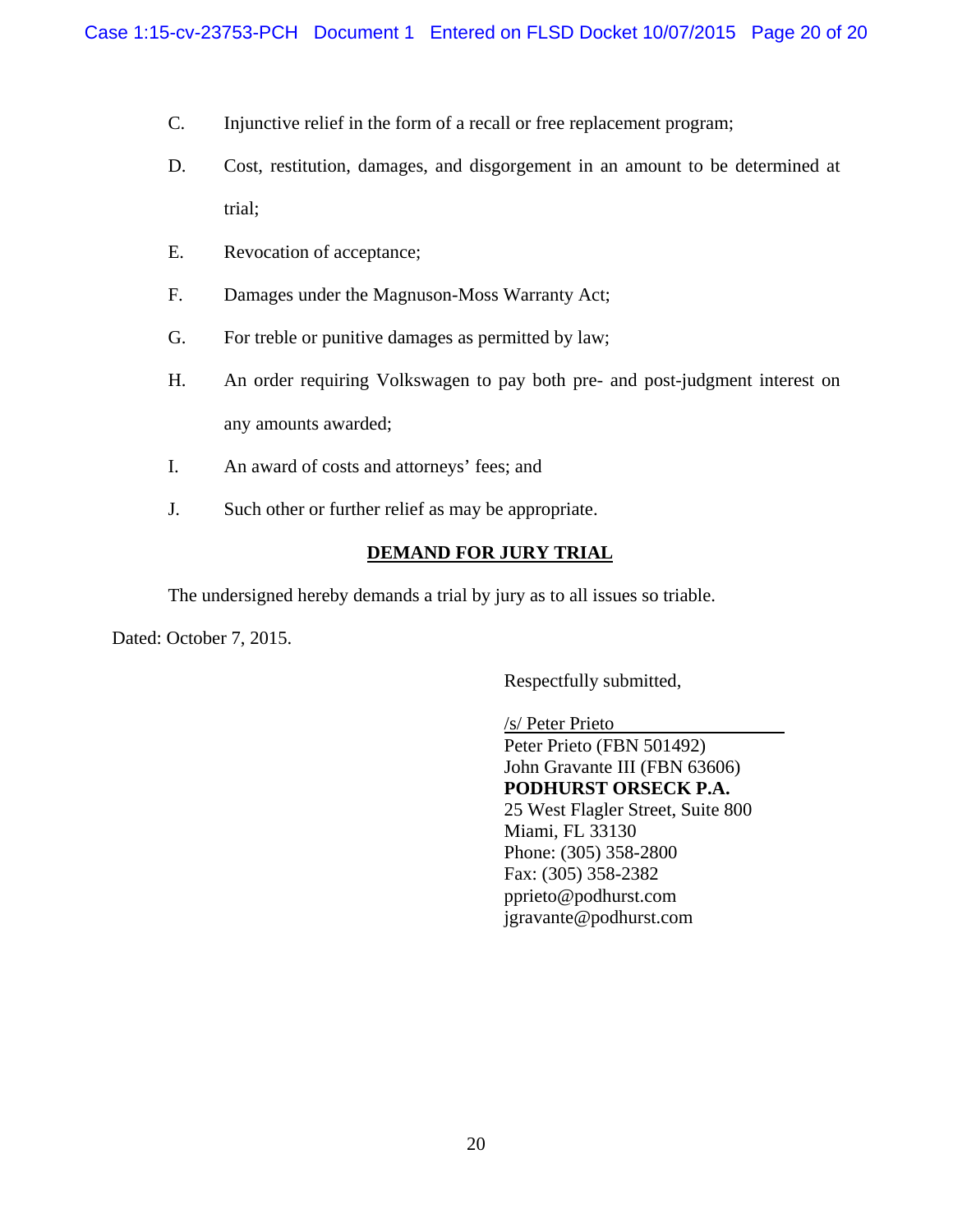- C. Injunctive relief in the form of a recall or free replacement program;
- D. Cost, restitution, damages, and disgorgement in an amount to be determined at trial;
- E. Revocation of acceptance;
- F. Damages under the Magnuson-Moss Warranty Act;
- G. For treble or punitive damages as permitted by law;
- H. An order requiring Volkswagen to pay both pre- and post-judgment interest on any amounts awarded;
- I. An award of costs and attorneys' fees; and
- J. Such other or further relief as may be appropriate.

# **DEMAND FOR JURY TRIAL**

The undersigned hereby demands a trial by jury as to all issues so triable.

Dated: October 7, 2015.

Respectfully submitted,

 /s/ Peter Prieto Peter Prieto (FBN 501492) John Gravante III (FBN 63606) **PODHURST ORSECK P.A.**  25 West Flagler Street, Suite 800 Miami, FL 33130 Phone: (305) 358-2800 Fax: (305) 358-2382 pprieto@podhurst.com jgravante@podhurst.com